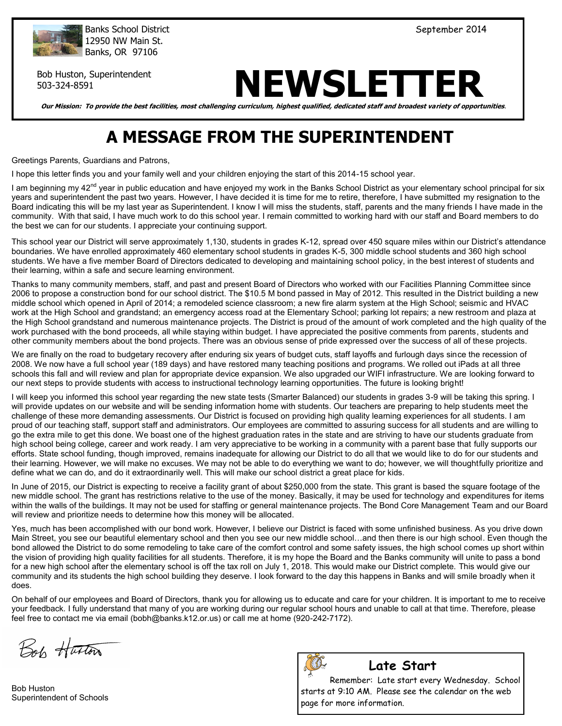

Banks School District No. 2014 (September 2014) 12950 NW Main St. Banks, OR 97106

Bob Huston, Superintendent

# Bob Huston, Superintendent<br>503-324-8591 **NEWSLETTER**

**Our Mission: To provide the best facilities, most challenging curriculum, highest qualified, dedicated staff and broadest variety of opportunities**.

# **A MESSAGE FROM THE SUPERINTENDENT**

Greetings Parents, Guardians and Patrons,

I hope this letter finds you and your family well and your children enjoying the start of this 2014-15 school year.

I am beginning my 42<sup>nd</sup> year in public education and have enjoyed my work in the Banks School District as your elementary school principal for six years and superintendent the past two years. However, I have decided it is time for me to retire, therefore, I have submitted my resignation to the Board indicating this will be my last year as Superintendent. I know I will miss the students, staff, parents and the many friends I have made in the community. With that said, I have much work to do this school year. I remain committed to working hard with our staff and Board members to do the best we can for our students. I appreciate your continuing support.

This school year our District will serve approximately 1,130, students in grades K-12, spread over 450 square miles within our District's attendance boundaries. We have enrolled approximately 460 elementary school students in grades K-5, 300 middle school students and 360 high school students. We have a five member Board of Directors dedicated to developing and maintaining school policy, in the best interest of students and their learning, within a safe and secure learning environment.

Thanks to many community members, staff, and past and present Board of Directors who worked with our Facilities Planning Committee since 2006 to propose a construction bond for our school district. The \$10.5 M bond passed in May of 2012. This resulted in the District building a new middle school which opened in April of 2014; a remodeled science classroom; a new fire alarm system at the High School; seismic and HVAC work at the High School and grandstand; an emergency access road at the Elementary School; parking lot repairs; a new restroom and plaza at the High School grandstand and numerous maintenance projects. The District is proud of the amount of work completed and the high quality of the work purchased with the bond proceeds, all while staying within budget. I have appreciated the positive comments from parents, students and other community members about the bond projects. There was an obvious sense of pride expressed over the success of all of these projects.

We are finally on the road to budgetary recovery after enduring six years of budget cuts, staff layoffs and furlough days since the recession of 2008. We now have a full school year (189 days) and have restored many teaching positions and programs. We rolled out iPads at all three schools this fall and will review and plan for appropriate device expansion. We also upgraded our WIFI infrastructure. We are looking forward to our next steps to provide students with access to instructional technology learning opportunities. The future is looking bright!

I will keep you informed this school year regarding the new state tests (Smarter Balanced) our students in grades 3-9 will be taking this spring. I will provide updates on our website and will be sending information home with students. Our teachers are preparing to help students meet the challenge of these more demanding assessments. Our District is focused on providing high quality learning experiences for all students. I am proud of our teaching staff, support staff and administrators. Our employees are committed to assuring success for all students and are willing to go the extra mile to get this done. We boast one of the highest graduation rates in the state and are striving to have our students graduate from high school being college, career and work ready. I am very appreciative to be working in a community with a parent base that fully supports our efforts. State school funding, though improved, remains inadequate for allowing our District to do all that we would like to do for our students and their learning. However, we will make no excuses. We may not be able to do everything we want to do; however, we will thoughtfully prioritize and define what we can do, and do it extraordinarily well. This will make our school district a great place for kids.

In June of 2015, our District is expecting to receive a facility grant of about \$250,000 from the state. This grant is based the square footage of the new middle school. The grant has restrictions relative to the use of the money. Basically, it may be used for technology and expenditures for items within the walls of the buildings. It may not be used for staffing or general maintenance projects. The Bond Core Management Team and our Board will review and prioritize needs to determine how this money will be allocated.

Yes, much has been accomplished with our bond work. However, I believe our District is faced with some unfinished business. As you drive down Main Street, you see our beautiful elementary school and then you see our new middle school…and then there is our high school. Even though the bond allowed the District to do some remodeling to take care of the comfort control and some safety issues, the high school comes up short within the vision of providing high quality facilities for all students. Therefore, it is my hope the Board and the Banks community will unite to pass a bond for a new high school after the elementary school is off the tax roll on July 1, 2018. This would make our District complete. This would give our community and its students the high school building they deserve. I look forward to the day this happens in Banks and will smile broadly when it does.

On behalf of our employees and Board of Directors, thank you for allowing us to educate and care for your children. It is important to me to receive your feedback. I fully understand that many of you are working during our regular school hours and unable to call at that time. Therefore, please feel free to contact me via email (bobh@banks.k12.or.us) or call me at home (920-242-7172).

Boh Huston

Bob Huston Superintendent of Schools



# **Late Start**

Remember: Late start every Wednesday. School starts at 9:10 AM. Please see the calendar on the web page for more information.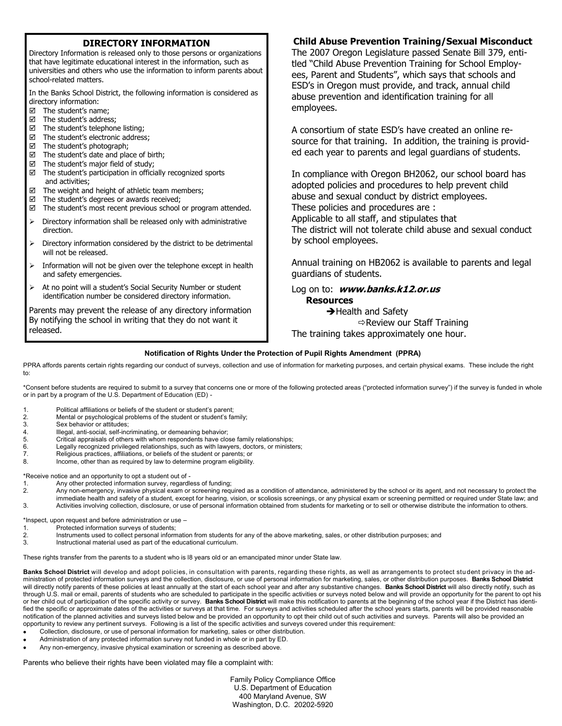### **DIRECTORY INFORMATION**

Directory Information is released only to those persons or organizations that have legitimate educational interest in the information, such as universities and others who use the information to inform parents about school-related matters.

In the Banks School District, the following information is considered as directory information:

- The student's name;
- The student's address;
- $\boxtimes$  The student's telephone listing;
- $\boxtimes$  The student's electronic address;
- $\boxtimes$  The student's photograph;
- $\boxtimes$  The student's date and place of birth;
- $\boxtimes$  The student's major field of study;
- $\boxtimes$  The student's participation in officially recognized sports and activities;
- $\boxtimes$  The weight and height of athletic team members;
- $\boxtimes$  The student's degrees or awards received;
- $\boxtimes$  The student's most recent previous school or program attended.
- $\triangleright$  Directory information shall be released only with administrative direction.
- $\triangleright$  Directory information considered by the district to be detrimental will not be released.
- $\triangleright$  Information will not be given over the telephone except in health and safety emergencies.
- > At no point will a student's Social Security Number or student identification number be considered directory information.

Parents may prevent the release of any directory information By notifying the school in writing that they do not want it released.

# **Child Abuse Prevention Training/Sexual Misconduct**

The 2007 Oregon Legislature passed Senate Bill 379, entitled "Child Abuse Prevention Training for School Employees, Parent and Students", which says that schools and ESD's in Oregon must provide, and track, annual child abuse prevention and identification training for all employees.

A consortium of state ESD's have created an online resource for that training. In addition, the training is provided each year to parents and legal guardians of students.

In compliance with Oregon BH2062, our school board has adopted policies and procedures to help prevent child abuse and sexual conduct by district employees. These policies and procedures are : Applicable to all staff, and stipulates that The district will not tolerate child abuse and sexual conduct by school employees.

Annual training on HB2062 is available to parents and legal guardians of students.

#### Log on to: **www.banks.k12.or.us Resources**

 $\rightarrow$  Health and Safety  $\Rightarrow$  Review our Staff Training The training takes approximately one hour.

#### **Notification of Rights Under the Protection of Pupil Rights Amendment (PPRA)**

PPRA affords parents certain rights regarding our conduct of surveys, collection and use of information for marketing purposes, and certain physical exams. These include the right to:

\*Consent before students are required to submit to a survey that concerns one or more of the following protected areas ("protected information survey") if the survey is funded in whole or in part by a program of the U.S. Department of Education (ED) -

- 1. Political affiliations or beliefs of the student or student's parent;
- Mental or psychological problems of the student or student's family;
- 3. Sex behavior or attitudes;
- 4. Illegal, anti-social, self-incriminating, or demeaning behavior;
- 5. Critical appraisals of others with whom respondents have close family relationships;<br>6 Legally recognized privileged relationships, such as with lawyers doctors or ministe
- Legally recognized privileged relationships, such as with lawyers, doctors, or ministers;
- 7. Religious practices, affiliations, or beliefs of the student or parents; or
- 8. Income, other than as required by law to determine program eligibility.

\*Receive notice and an opportunity to opt a student out of -

- 1. Any other protected information survey, regardless of funding;<br>2. Any non-emergency, invasive physical exam or screening regi
- Any non-emergency, invasive physical exam or screening required as a condition of attendance, administered by the school or its agent, and not necessary to protect the
- immediate health and safety of a student, except for hearing, vision, or scoliosis screenings, or any physical exam or screening permitted or required under State law; and 3. Activities involving collection, disclosure, or use of personal information obtained from students for marketing or to sell or otherwise distribute the information to others.

\*Inspect, upon request and before administration or use –

- 1. Protected information surveys of students;
- 2. Instruments used to collect personal information from students for any of the above marketing, sales, or other distribution purposes; and
- 3. Instructional material used as part of the educational curriculum.

These rights transfer from the parents to a student who is l8 years old or an emancipated minor under State law.

**Banks School District** will develop and adopt policies, in consultation with parents, regarding these rights, as well as arrangements to protect student privacy in the administration of protected information surveys and the collection, disclosure, or use of personal information for marketing, sales, or other distribution purposes. **Banks School District**  will directly notify parents of these policies at least annually at the start of each school year and after any substantive changes. **Banks School District** will also directly notify, such as through U.S. mail or email, parents of students who are scheduled to participate in the specific activities or surveys noted below and will provide an opportunity for the parent to opt his or her child out of participation of the specific activity or survey. **Banks School District** will make this notification to parents at the beginning of the school year if the District has identified the specific or approximate dates of the activities or surveys at that time. For surveys and activities scheduled after the school years starts, parents will be provided reasonable notification of the planned activities and surveys listed below and be provided an opportunity to opt their child out of such activities and surveys. Parents will also be provided an opportunity to review any pertinent surveys. Following is a list of the specific activities and surveys covered under this requirement:

- Collection, disclosure, or use of personal information for marketing, sales or other distribution.
- Administration of any protected information survey not funded in whole or in part by ED.
- Any non-emergency, invasive physical examination or screening as described above.

Parents who believe their rights have been violated may file a complaint with:

Family Policy Compliance Office U.S. Department of Education 400 Maryland Avenue, SW Washington, D.C. 20202-5920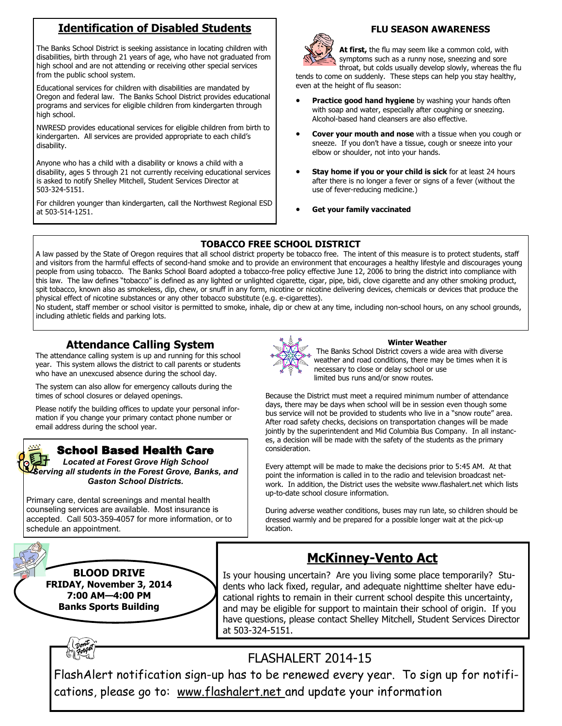# **Identification of Disabled Students**

The Banks School District is seeking assistance in locating children with disabilities, birth through 21 years of age, who have not graduated from high school and are not attending or receiving other special services from the public school system.

Educational services for children with disabilities are mandated by Oregon and federal law. The Banks School District provides educational programs and services for eligible children from kindergarten through high school.

NWRESD provides educational services for eligible children from birth to kindergarten. All services are provided appropriate to each child's disability.

Anyone who has a child with a disability or knows a child with a disability, ages 5 through 21 not currently receiving educational services is asked to notify Shelley Mitchell, Student Services Director at 503-324-5151.

For children younger than kindergarten, call the Northwest Regional ESD at 503-514-1251.



### **FLU SEASON AWARENESS**

**At first,** the flu may seem like a common cold, with symptoms such as a runny nose, sneezing and sore throat, but colds usually develop slowly, whereas the flu

tends to come on suddenly. These steps can help you stay healthy, even at the height of flu season:

- **Practice good hand hygiene** by washing your hands often with soap and water, especially after coughing or sneezing. Alcohol-based hand cleansers are also effective.
- **Cover your mouth and nose** with a tissue when you cough or sneeze. If you don't have a tissue, cough or sneeze into your elbow or shoulder, not into your hands.
- **Stay home if you or your child is sick** for at least 24 hours after there is no longer a fever or signs of a fever (without the use of fever-reducing medicine.)
- **Get your family vaccinated**

# **TOBACCO FREE SCHOOL DISTRICT**

A law passed by the State of Oregon requires that all school district property be tobacco free. The intent of this measure is to protect students, staff and visitors from the harmful effects of second-hand smoke and to provide an environment that encourages a healthy lifestyle and discourages young people from using tobacco. The Banks School Board adopted a tobacco-free policy effective June 12, 2006 to bring the district into compliance with this law. The law defines "tobacco" is defined as any lighted or unlighted cigarette, cigar, pipe, bidi, clove cigarette and any other smoking product, spit tobacco, known also as smokeless, dip, chew, or snuff in any form, nicotine or nicotine delivering devices, chemicals or devices that produce the physical effect of nicotine substances or any other tobacco substitute (e.g. e-cigarettes).

No student, staff member or school visitor is permitted to smoke, inhale, dip or chew at any time, including non-school hours, on any school grounds, including athletic fields and parking lots.

# **Attendance Calling System**

The attendance calling system is up and running for this school year. This system allows the district to call parents or students who have an unexcused absence during the school day.

The system can also allow for emergency callouts during the times of school closures or delayed openings.

Please notify the building offices to update your personal information if you change your primary contact phone number or email address during the school year.

# School Based Health Care

*Located at Forest Grove High School Serving all students in the Forest Grove, Banks, and Gaston School Districts.*

Primary care, dental screenings and mental health counseling services are available. Most insurance is accepted. Call 503-359-4057 for more information, or to schedule an appointment.



**BLOOD DRIVE FRIDAY, November 3, 2014 7:00 AM—4:00 PM Banks Sports Building**



#### **Winter Weather** The Banks School District covers a wide area with diverse weather and road conditions, there may be times when it is necessary to close or delay school or use

limited bus runs and/or snow routes.

Because the District must meet a required minimum number of attendance days, there may be days when school will be in session even though some bus service will not be provided to students who live in a "snow route" area. After road safety checks, decisions on transportation changes will be made jointly by the superintendent and Mid Columbia Bus Company. In all instances, a decision will be made with the safety of the students as the primary consideration.

Every attempt will be made to make the decisions prior to 5:45 AM. At that point the information is called in to the radio and television broadcast network. In addition, the District uses the website www.flashalert.net which lists up-to-date school closure information.

During adverse weather conditions, buses may run late, so children should be dressed warmly and be prepared for a possible longer wait at the pick-up location.

# **McKinney-Vento Act**

Is your housing uncertain? Are you living some place temporarily? Students who lack fixed, regular, and adequate nighttime shelter have educational rights to remain in their current school despite this uncertainty, and may be eligible for support to maintain their school of origin. If you have questions, please contact Shelley Mitchell, Student Services Director at 503-324-5151.

# FLASHALERT 2014-15

FlashAlert notification sign-up has to be renewed every year. To sign up for notifications, please go to: www.flashalert.net and update your information